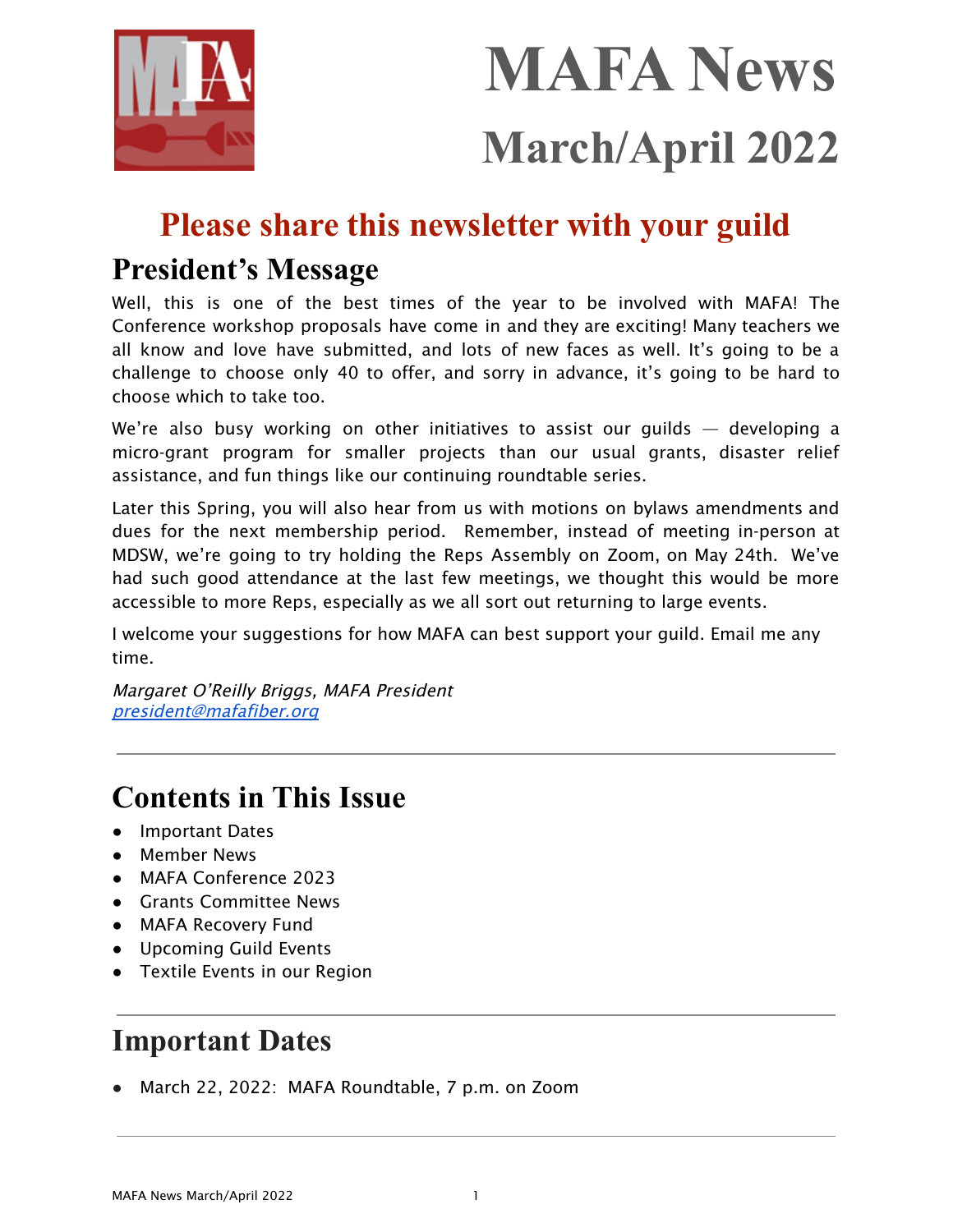

# **MAFA News March/April 2022**

### **Please share this newsletter with your guild**

### **President's Message**

Well, this is one of the best times of the year to be involved with MAFA! The Conference workshop proposals have come in and they are exciting! Many teachers we all know and love have submitted, and lots of new faces as well. It's going to be a challenge to choose only 40 to offer, and sorry in advance, it's going to be hard to choose which to take too.

We're also busy working on other initiatives to assist our quilds  $-$  developing a micro-grant program for smaller projects than our usual grants, disaster relief assistance, and fun things like our continuing roundtable series.

Later this Spring, you will also hear from us with motions on bylaws amendments and dues for the next membership period. Remember, instead of meeting in-person at MDSW, we're going to try holding the Reps Assembly on Zoom, on May 24th. We've had such good attendance at the last few meetings, we thought this would be more accessible to more Reps, especially as we all sort out returning to large events.

I welcome your suggestions for how MAFA can best support your guild. Email me any time.

Margaret O'Reilly Briggs, MAFA President [president@mafafiber.org](mailto:president@mafafiber.org)

### **Contents in This Issue**

- Important Dates
- Member News
- MAFA Conference 2023
- Grants Committee News
- MAFA Recovery Fund
- Upcoming Guild Events
- Textile Events in our Region

### **Important Dates**

● March 22, 2022: MAFA Roundtable, 7 p.m. on Zoom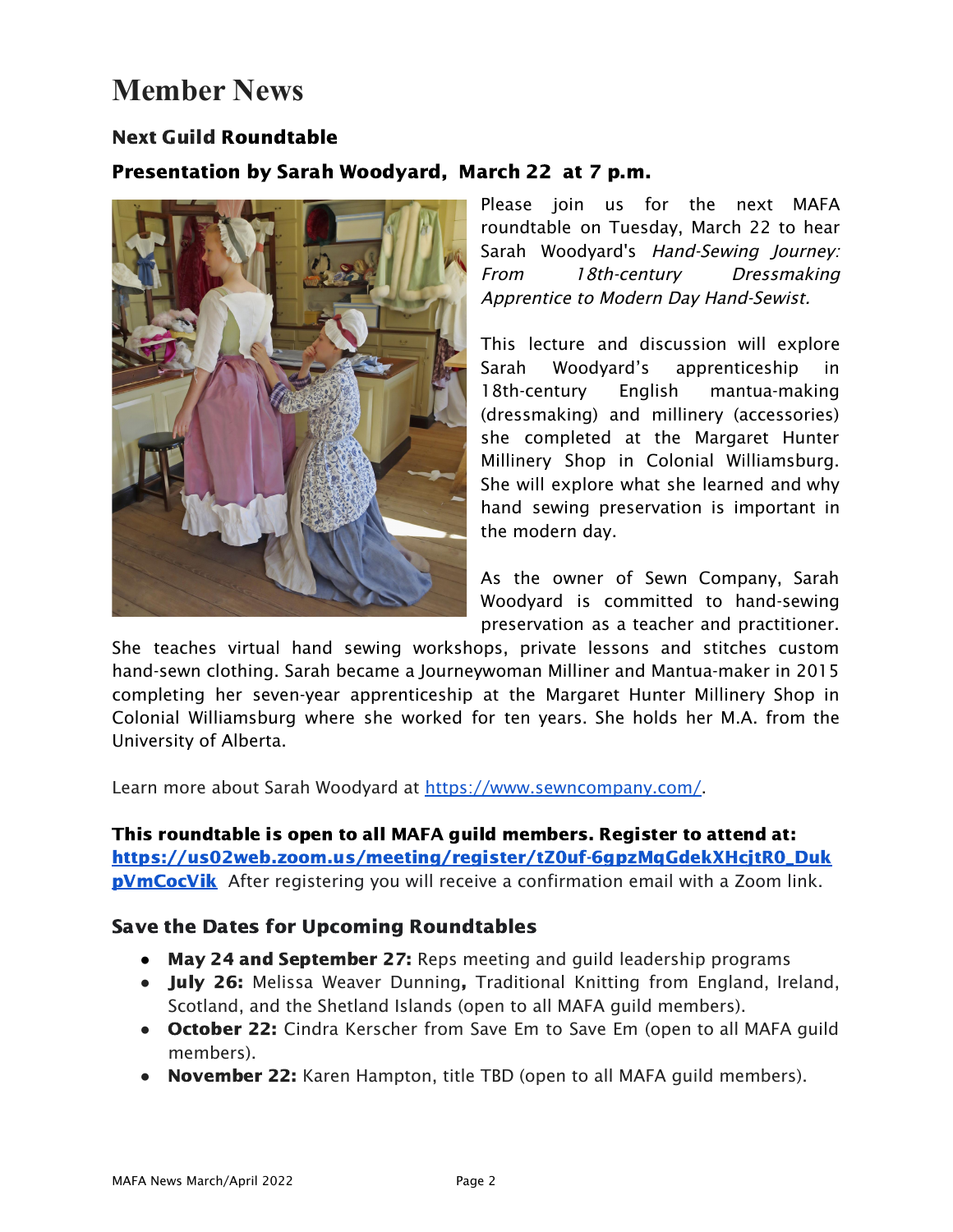### **Member News**

### Next Guild Roundtable

### Presentation by Sarah Woodyard, March 22 at 7 p.m.



Please join us for the next MAFA roundtable on Tuesday, March 22 to hear Sarah Woodyard's Hand-Sewing Journey: From 18th-century Dressmaking Apprentice to Modern Day Hand-Sewist.

This lecture and discussion will explore Sarah Woodyard's apprenticeship in 18th-century English mantua-making (dressmaking) and millinery (accessories) she completed at the Margaret Hunter Millinery Shop in Colonial Williamsburg. She will explore what she learned and why hand sewing preservation is important in the modern day.

As the owner of Sewn Company, Sarah Woodyard is committed to hand-sewing preservation as a teacher and practitioner.

She teaches virtual hand sewing workshops, private lessons and stitches custom hand-sewn clothing. Sarah became a Journeywoman Milliner and Mantua-maker in 2015 completing her seven-year apprenticeship at the Margaret Hunter Millinery Shop in Colonial Williamsburg where she worked for ten years. She holds her M.A. from the University of Alberta.

Learn more about Sarah Woodyard at [https://www.sewncompany.com/.](https://www.sewncompany.com/)

This roundtable is open to all MAFA guild members. Register to attend at: [https://us02web.zoom.us/meeting/register/tZ0uf-6gpzMqGdekXHcjtR0\\_Duk](https://us02web.zoom.us/meeting/register/tZ0uf-6gpzMqGdekXHcjtR0_DukpVmCocVik) **[pVmCocVik](https://us02web.zoom.us/meeting/register/tZ0uf-6gpzMqGdekXHcjtR0_DukpVmCocVik)** After registering you will receive a confirmation email with a Zoom link.

#### Save the Dates for Upcoming Roundtables

- May 24 and September 27: Reps meeting and guild leadership programs
- July 26: Melissa Weaver Dunning, Traditional Knitting from England, Ireland, Scotland, and the Shetland Islands (open to all MAFA guild members).
- October 22: Cindra Kerscher from Save Em to Save Em (open to all MAFA guild members).
- November 22: Karen Hampton, title TBD (open to all MAFA guild members).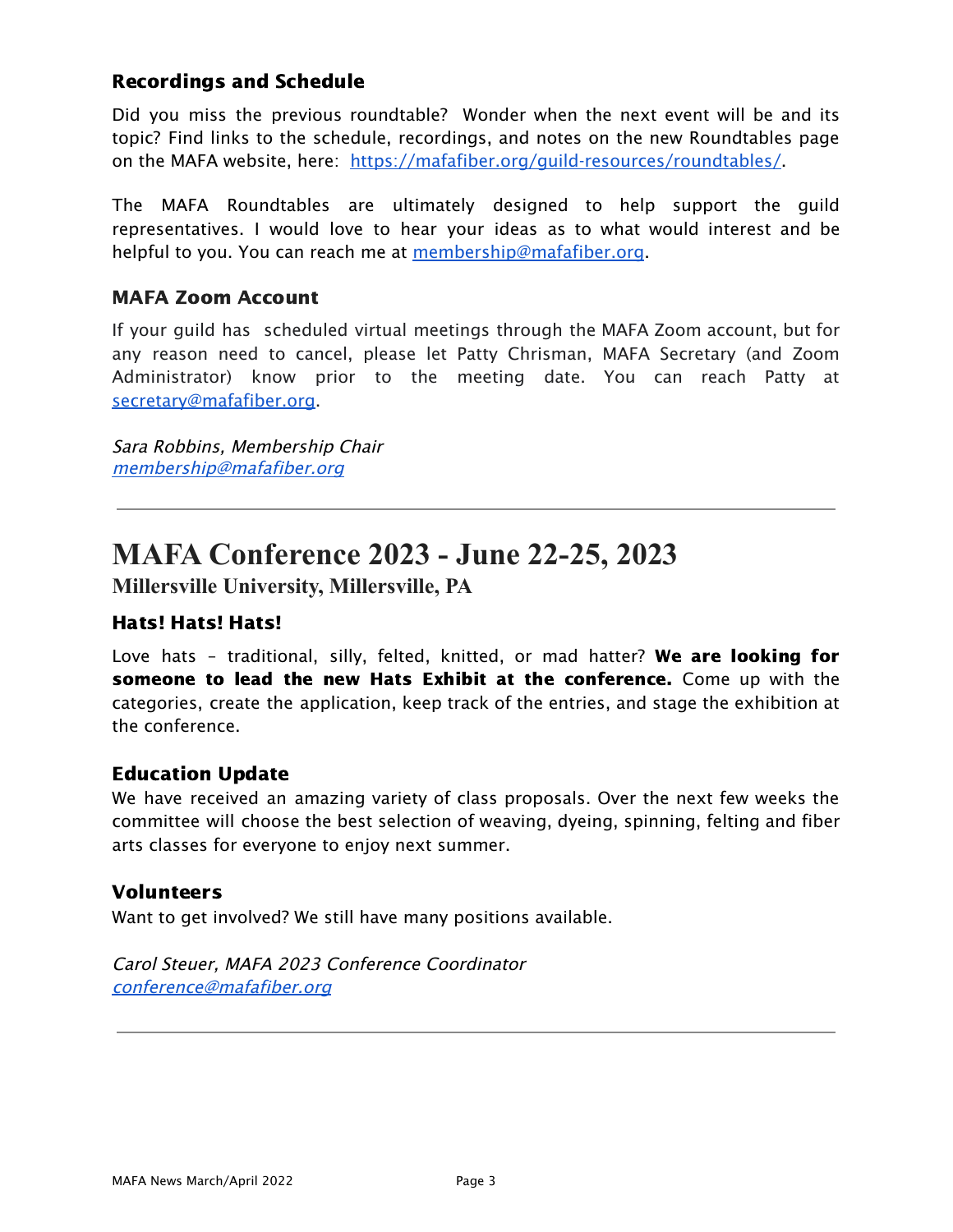### Recordings and Schedule

Did you miss the previous roundtable? Wonder when the next event will be and its topic? Find links to the schedule, recordings, and notes on the new Roundtables page on the MAFA website, here: <https://mafafiber.org/guild-resources/roundtables/>

The MAFA Roundtables are ultimately designed to help support the guild representatives. I would love to hear your ideas as to what would interest and be helpful to you. You can reach me at [membership@mafafiber.org](mailto:membership@mafafiber.org).

### MAFA Zoom Account

If your guild has scheduled virtual meetings through the MAFA Zoom account, but for any reason need to cancel, please let Patty Chrisman, MAFA Secretary (and Zoom Administrator) know prior to the meeting date. You can reach Patty at [secretary@mafafiber.org.](mailto:secretary@mafafiber.org)

Sara Robbins, Membership Chair [membership@mafafiber.org](mailto:membership@mafafiber.org)

### **MAFA Conference 2023 - June 22-25, 2023**

**Millersville University, Millersville, PA**

### Hats! Hats! Hats!

Love hats - traditional, silly, felted, knitted, or mad hatter? We are looking for someone to lead the new Hats Exhibit at the conference. Come up with the categories, create the application, keep track of the entries, and stage the exhibition at the conference.

#### Education Update

We have received an amazing variety of class proposals. Over the next few weeks the committee will choose the best selection of weaving, dyeing, spinning, felting and fiber arts classes for everyone to enjoy next summer.

#### Volunteers

Want to get involved? We still have many positions available.

Carol Steuer, MAFA 2023 Conference Coordinator [conference@mafafiber.org](mailto:conference@mafafiber.org)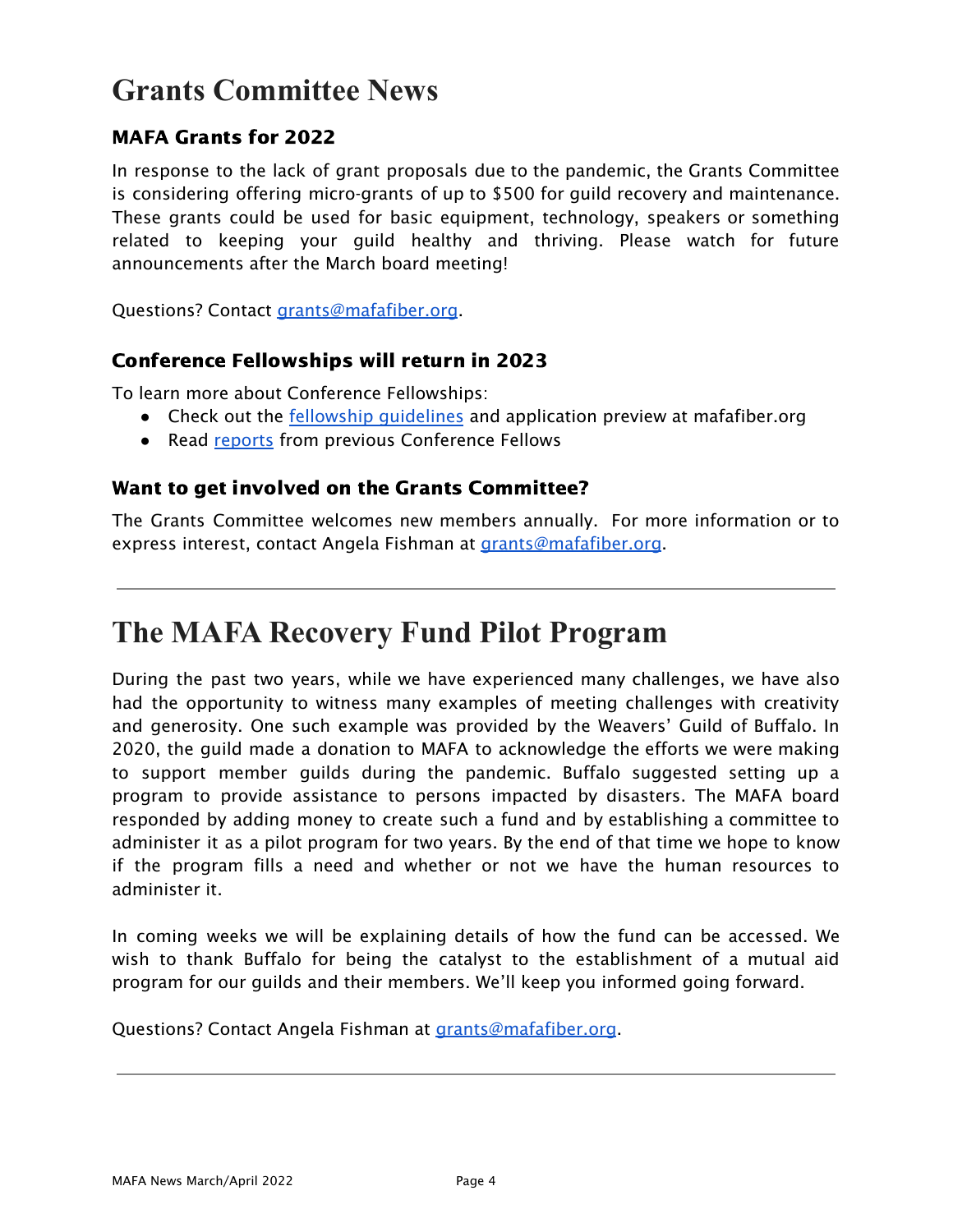### **Grants Committee News**

### MAFA Grants for 2022

In response to the lack of grant proposals due to the pandemic, the Grants Committee is considering offering micro-grants of up to \$500 for guild recovery and maintenance. These grants could be used for basic equipment, technology, speakers or something related to keeping your guild healthy and thriving. Please watch for future announcements after the March board meeting!

Questions? Contact [grants@mafafiber.org](mailto:grants@mafafiber.org).

#### Conference Fellowships will return in 2023

To learn more about Conference Fellowships:

- Check out the fellowship [guidelines](https://mafafiber.org/grants/fellowships/) and application preview at mafafiber.org
- Read [reports](https://mafafiber.org/grants/fellowships/fellowship-awards/) from previous Conference Fellows

#### Want to get involved on the Grants Committee?

The Grants Committee welcomes new members annually. For more information or to express interest, contact Angela Fishman at [grants@mafafiber.org](mailto:grants@mafafiber.org).

### **The MAFA Recovery Fund Pilot Program**

During the past two years, while we have experienced many challenges, we have also had the opportunity to witness many examples of meeting challenges with creativity and generosity. One such example was provided by the Weavers' Guild of Buffalo. In 2020, the guild made a donation to MAFA to acknowledge the efforts we were making to support member guilds during the pandemic. Buffalo suggested setting up a program to provide assistance to persons impacted by disasters. The MAFA board responded by adding money to create such a fund and by establishing a committee to administer it as a pilot program for two years. By the end of that time we hope to know if the program fills a need and whether or not we have the human resources to administer it.

In coming weeks we will be explaining details of how the fund can be accessed. We wish to thank Buffalo for being the catalyst to the establishment of a mutual aid program for our guilds and their members. We'll keep you informed going forward.

Questions? Contact Angela Fishman at [grants@mafafiber.org](mailto:grants@mafafiber.org).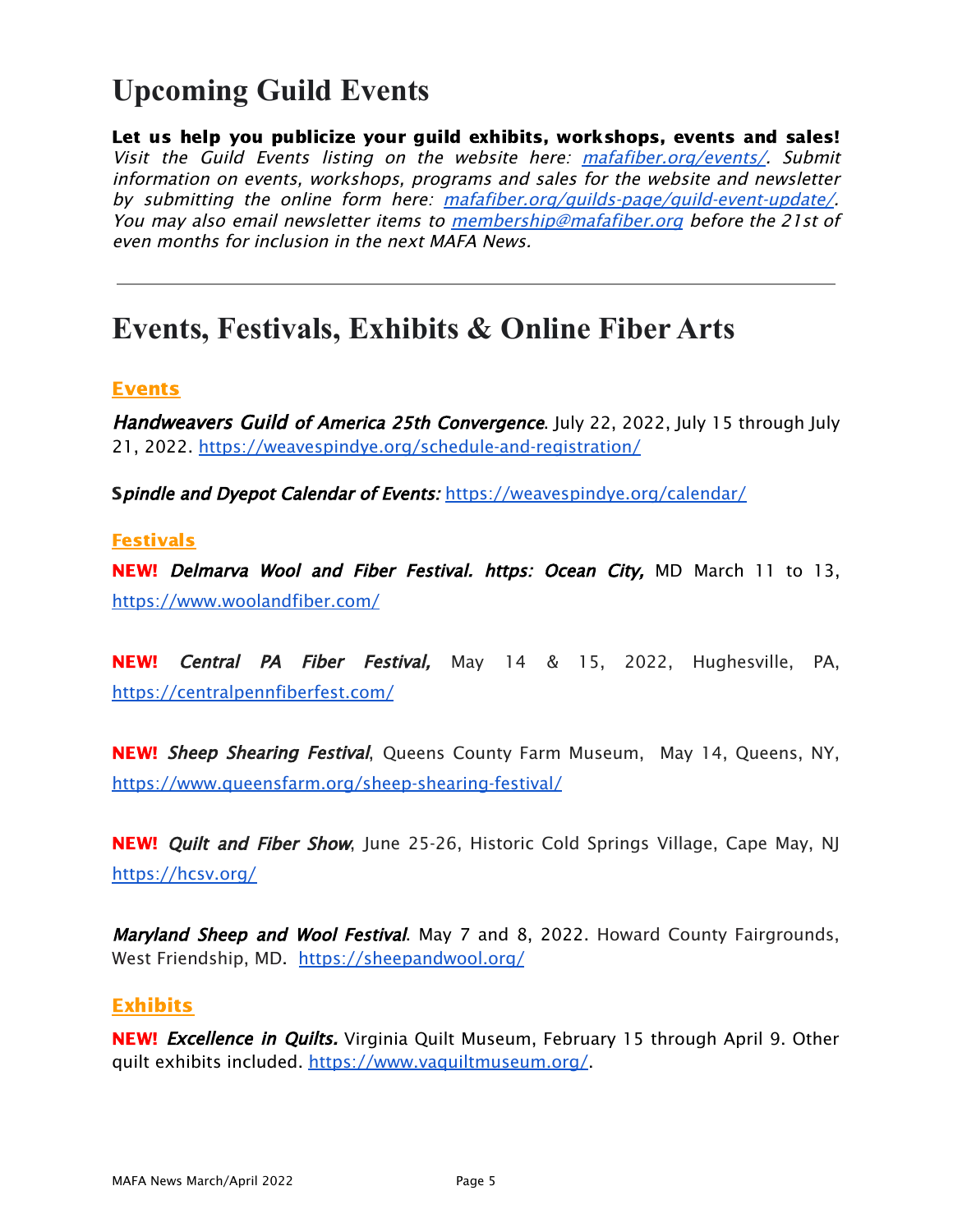## **Upcoming Guild Events**

Let us help you publicize your guild exhibits, workshops, events and sales! Visit the Guild Events listing on the website here: [mafafiber.org/events/](https://mafafiber.org/events/). Submit information on events, workshops, programs and sales for the website and newsletter by submitting the online form here: [mafafiber.org/guilds-page/guild-event-update/](https://mafafiber.org/guilds-page/guild-event-update/). You may also email newsletter items to [membership@mafafiber.org](mailto:membership@mafafiber.org) before the 21st of even months for inclusion in the next MAFA News.

### **Events, Festivals, Exhibits & Online Fiber Arts**

#### Events

Handweavers Guild of America 25th Convergence. July 22, 2022, July 15 through July 21, 2022. <https://weavespindye.org/schedule-and-registration/>

Spindle and Dyepot Calendar of Events: <https://weavespindye.org/calendar/>

#### Festivals

**NEW!** Delmarva Wool and Fiber Festival. https: Ocean City, MD March 11 to 13, <https://www.woolandfiber.com/>

NEW! Central PA Fiber Festival, May 14 & 15, 2022, Hughesville, PA, <https://centralpennfiberfest.com/>

NEW! Sheep Shearing Festival, Queens County Farm Museum, May 14, Queens, NY, <https://www.queensfarm.org/sheep-shearing-festival/>

NEW! *Quilt and Fiber Show*, June 25-26, Historic Cold Springs Village, Cape May, NJ <https://hcsv.org/>

Maryland Sheep and Wool Festival. May 7 and 8, 2022. Howard County Fairgrounds, West Friendship, MD. <https://sheepandwool.org/>

#### Exhibits

NEW! Excellence in Quilts. Virginia Quilt Museum, February 15 through April 9. Other quilt exhibits included. <https://www.vaquiltmuseum.org/>.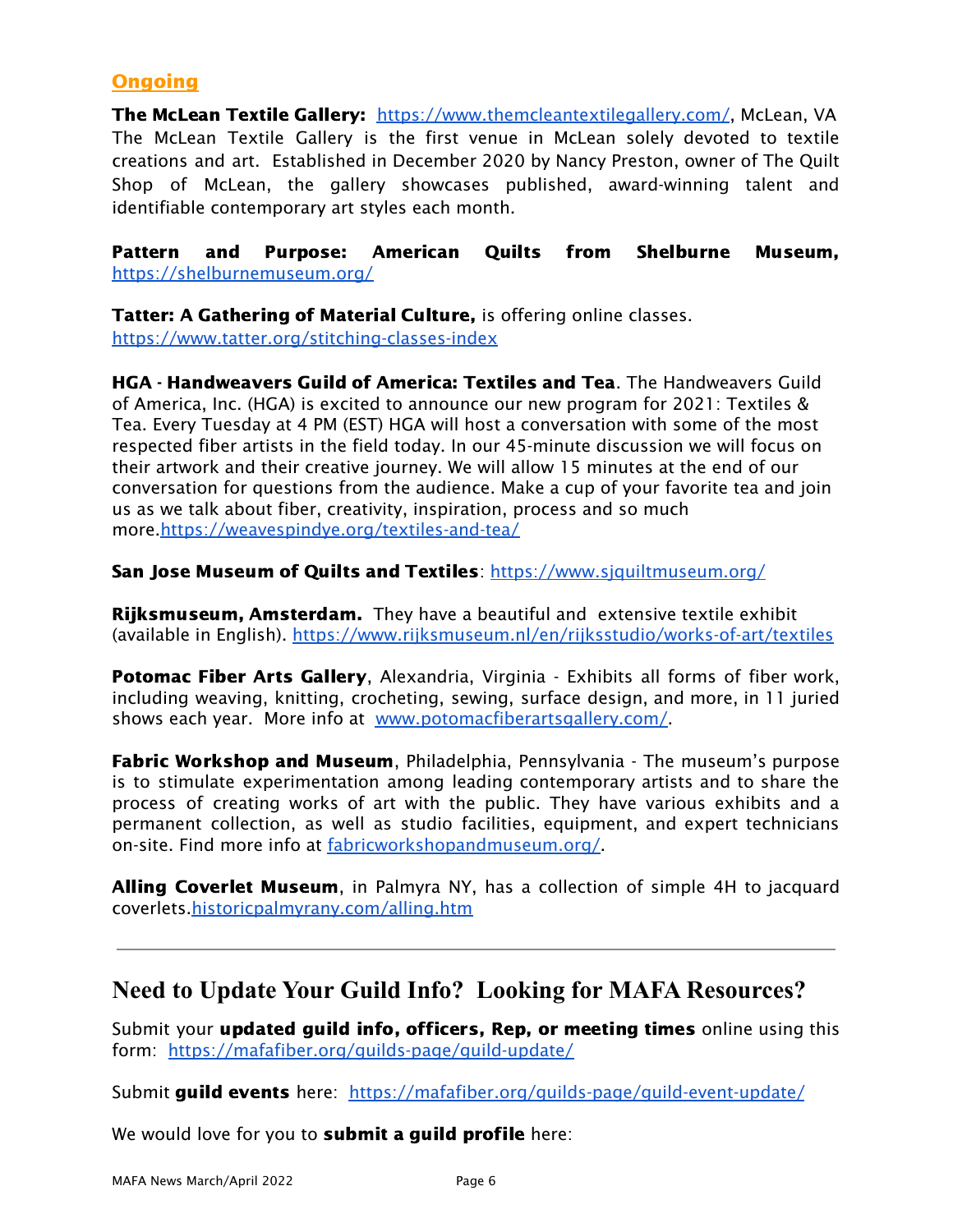### **Ongoing**

The McLean Textile Gallery: <https://www.themcleantextilegallery.com/>, McLean, VA The McLean Textile Gallery is the first venue in McLean solely devoted to textile creations and art. Established in December 2020 by Nancy Preston, owner of The Quilt Shop of McLean, the gallery showcases published, award-winning talent and identifiable contemporary art styles each month.

Pattern and Purpose: American Quilts from Shelburne Museum, <https://shelburnemuseum.org/>

Tatter: A Gathering of Material Culture, is offering online classes. <https://www.tatter.org/stitching-classes-index>

HGA - Handweavers Guild of America: Textiles and Tea. The Handweavers Guild of America, Inc. (HGA) is excited to announce our new program for 2021: Textiles & Tea. Every Tuesday at 4 PM (EST) HGA will host a conversation with some of the most respected fiber artists in the field today. In our 45-minute discussion we will focus on their artwork and their creative journey. We will allow 15 minutes at the end of our conversation for questions from the audience. Make a cup of your favorite tea and join us as we talk about fiber, creativity, inspiration, process and so much more[.https://weavespindye.org/textiles-and-tea/](https://weavespindye.org/textiles-and-tea/)

San Jose Museum of Quilts and Textiles: https://www.siquiltmuseum.org/

**Rijksmuseum, Amsterdam.** They have a beautiful and extensive textile exhibit (available in English). <https://www.rijksmuseum.nl/en/rijksstudio/works-of-art/textiles>

**Potomac Fiber Arts Gallery, Alexandria, Virginia - Exhibits all forms of fiber work,** including weaving, knitting, crocheting, sewing, surface design, and more, in 11 juried shows each year. More info at [www.potomacfiberartsgallery.com/](http://www.potomacfiberartsgallery.com/).

Fabric Workshop and Museum, Philadelphia, Pennsylvania - The museum's purpose is to stimulate experimentation among leading contemporary artists and to share the process of creating works of art with the public. They have various exhibits and a permanent collection, as well as studio facilities, equipment, and expert technicians on-site. Find more info at [fabricworkshopandmuseum.org/.](http://fabricworkshopandmuseum.org/)

Alling Coverlet Museum, in Palmyra NY, has a collection of simple 4H to jacquard coverlets[.historicpalmyrany.com/alling.htm](http://historicpalmyrany.com/alling.htm)

### **Need to Update Your Guild Info? Looking for MAFA Resources?**

Submit your updated guild info, officers, Rep, or meeting times online using this form: <https://mafafiber.org/guilds-page/guild-update/>

Submit guild events here: [https://mafafiber.org/guilds-page/guild-event-update/](http://mafafiber.org/guilds-page/guild-event-update/)

We would love for you to **submit a guild profile** here: